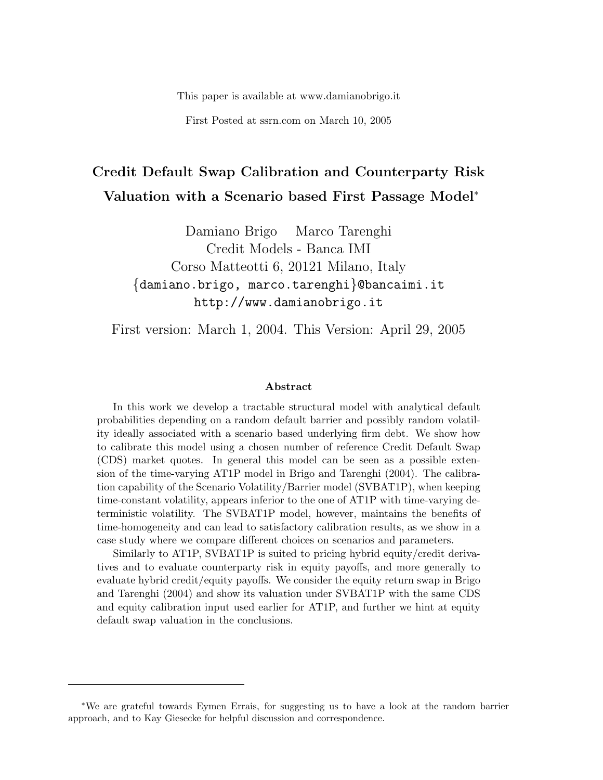This paper is available at www.damianobrigo.it

First Posted at ssrn.com on March 10, 2005

# Credit Default Swap Calibration and Counterparty Risk Valuation with a Scenario based First Passage Model<sup>∗</sup>

Damiano Brigo Marco Tarenghi Credit Models - Banca IMI Corso Matteotti 6, 20121 Milano, Italy {damiano.brigo, marco.tarenghi}@bancaimi.it http://www.damianobrigo.it

First version: March 1, 2004. This Version: April 29, 2005

#### Abstract

In this work we develop a tractable structural model with analytical default probabilities depending on a random default barrier and possibly random volatility ideally associated with a scenario based underlying firm debt. We show how to calibrate this model using a chosen number of reference Credit Default Swap (CDS) market quotes. In general this model can be seen as a possible extension of the time-varying AT1P model in Brigo and Tarenghi (2004). The calibration capability of the Scenario Volatility/Barrier model (SVBAT1P), when keeping time-constant volatility, appears inferior to the one of AT1P with time-varying deterministic volatility. The SVBAT1P model, however, maintains the benefits of time-homogeneity and can lead to satisfactory calibration results, as we show in a case study where we compare different choices on scenarios and parameters.

Similarly to AT1P, SVBAT1P is suited to pricing hybrid equity/credit derivatives and to evaluate counterparty risk in equity payoffs, and more generally to evaluate hybrid credit/equity payoffs. We consider the equity return swap in Brigo and Tarenghi (2004) and show its valuation under SVBAT1P with the same CDS and equity calibration input used earlier for AT1P, and further we hint at equity default swap valuation in the conclusions.

<sup>∗</sup>We are grateful towards Eymen Errais, for suggesting us to have a look at the random barrier approach, and to Kay Giesecke for helpful discussion and correspondence.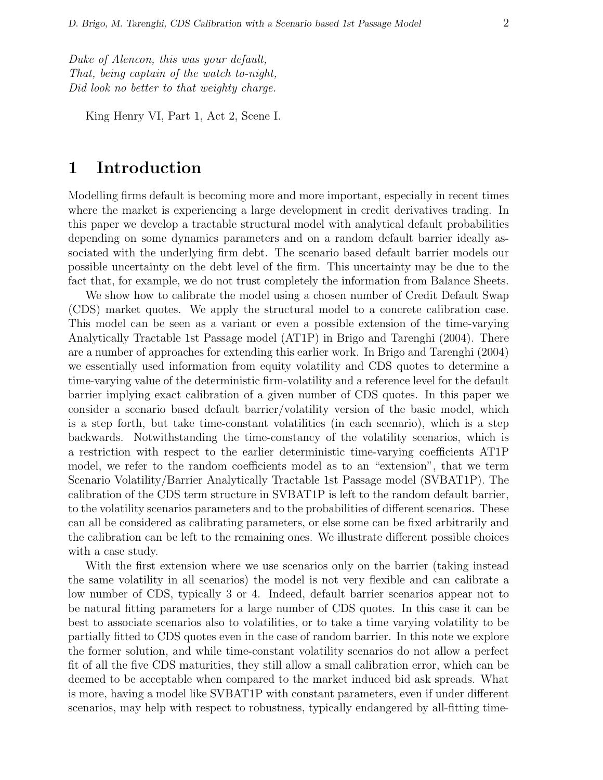Duke of Alencon, this was your default, That, being captain of the watch to-night, Did look no better to that weighty charge.

King Henry VI, Part 1, Act 2, Scene I.

# 1 Introduction

Modelling firms default is becoming more and more important, especially in recent times where the market is experiencing a large development in credit derivatives trading. In this paper we develop a tractable structural model with analytical default probabilities depending on some dynamics parameters and on a random default barrier ideally associated with the underlying firm debt. The scenario based default barrier models our possible uncertainty on the debt level of the firm. This uncertainty may be due to the fact that, for example, we do not trust completely the information from Balance Sheets.

We show how to calibrate the model using a chosen number of Credit Default Swap (CDS) market quotes. We apply the structural model to a concrete calibration case. This model can be seen as a variant or even a possible extension of the time-varying Analytically Tractable 1st Passage model (AT1P) in Brigo and Tarenghi (2004). There are a number of approaches for extending this earlier work. In Brigo and Tarenghi (2004) we essentially used information from equity volatility and CDS quotes to determine a time-varying value of the deterministic firm-volatility and a reference level for the default barrier implying exact calibration of a given number of CDS quotes. In this paper we consider a scenario based default barrier/volatility version of the basic model, which is a step forth, but take time-constant volatilities (in each scenario), which is a step backwards. Notwithstanding the time-constancy of the volatility scenarios, which is a restriction with respect to the earlier deterministic time-varying coefficients AT1P model, we refer to the random coefficients model as to an "extension", that we term Scenario Volatility/Barrier Analytically Tractable 1st Passage model (SVBAT1P). The calibration of the CDS term structure in SVBAT1P is left to the random default barrier, to the volatility scenarios parameters and to the probabilities of different scenarios. These can all be considered as calibrating parameters, or else some can be fixed arbitrarily and the calibration can be left to the remaining ones. We illustrate different possible choices with a case study.

With the first extension where we use scenarios only on the barrier (taking instead the same volatility in all scenarios) the model is not very flexible and can calibrate a low number of CDS, typically 3 or 4. Indeed, default barrier scenarios appear not to be natural fitting parameters for a large number of CDS quotes. In this case it can be best to associate scenarios also to volatilities, or to take a time varying volatility to be partially fitted to CDS quotes even in the case of random barrier. In this note we explore the former solution, and while time-constant volatility scenarios do not allow a perfect fit of all the five CDS maturities, they still allow a small calibration error, which can be deemed to be acceptable when compared to the market induced bid ask spreads. What is more, having a model like SVBAT1P with constant parameters, even if under different scenarios, may help with respect to robustness, typically endangered by all-fitting time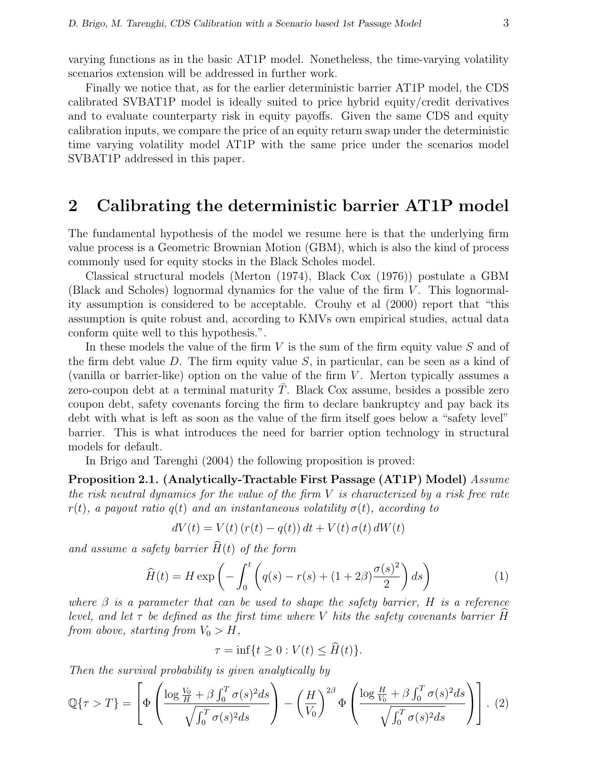varying functions as in the basic AT1P model. Nonetheless, the time-varying volatility scenarios extension will be addressed in further work.

Finally we notice that, as for the earlier deterministic barrier AT1P model, the CDS calibrated SVBAT1P model is ideally suited to price hybrid equity/credit derivatives and to evaluate counterparty risk in equity payoffs. Given the same CDS and equity calibration inputs, we compare the price of an equity return swap under the deterministic time varying volatility model AT1P with the same price under the scenarios model SVBAT1P addressed in this paper.

### 2 Calibrating the deterministic barrier AT1P model

The fundamental hypothesis of the model we resume here is that the underlying firm value process is a Geometric Brownian Motion (GBM), which is also the kind of process commonly used for equity stocks in the Black Scholes model.

Classical structural models (Merton (1974), Black Cox (1976)) postulate a GBM (Black and Scholes) lognormal dynamics for the value of the firm  $V$ . This lognormality assumption is considered to be acceptable. Crouhy et al (2000) report that "this assumption is quite robust and, according to KMVs own empirical studies, actual data conform quite well to this hypothesis.".

In these models the value of the firm  $V$  is the sum of the firm equity value  $S$  and of the firm debt value  $D$ . The firm equity value  $S$ , in particular, can be seen as a kind of (vanilla or barrier-like) option on the value of the firm  $V$ . Merton typically assumes a zero-coupon debt at a terminal maturity  $\overline{T}$ . Black Cox assume, besides a possible zero coupon debt, safety covenants forcing the firm to declare bankruptcy and pay back its debt with what is left as soon as the value of the firm itself goes below a "safety level" barrier. This is what introduces the need for barrier option technology in structural models for default.

In Brigo and Tarenghi (2004) the following proposition is proved:

Proposition 2.1. (Analytically-Tractable First Passage (AT1P) Model) Assume the risk neutral dynamics for the value of the firm  $V$  is characterized by a risk free rate  $r(t)$ , a payout ratio q(t) and an instantaneous volatility  $\sigma(t)$ , according to

$$
dV(t) = V(t) (r(t) - q(t)) dt + V(t) \sigma(t) dW(t)
$$

and assume a safety barrier  $\widehat{H}(t)$  of the form

$$
\widehat{H}(t) = H \exp\left(-\int_0^t \left(q(s) - r(s) + (1+2\beta)\frac{\sigma(s)^2}{2}\right) ds\right)
$$
(1)

where  $\beta$  is a parameter that can be used to shape the safety barrier. H is a reference level, and let  $\tau$  be defined as the first time where V hits the safety covenants barrier H from above, starting from  $V_0 > H$ ,

$$
\tau = \inf\{t \ge 0 : V(t) \le \widehat{H}(t)\}.
$$

Then the survival probability is given analytically by  $\mathbf{F}$  /

$$
\mathbb{Q}\{\tau > T\} = \left[\Phi\left(\frac{\log \frac{V_0}{H} + \beta \int_0^T \sigma(s)^2 ds}{\sqrt{\int_0^T \sigma(s)^2 ds}}\right) - \left(\frac{H}{V_0}\right)^{2\beta} \Phi\left(\frac{\log \frac{H}{V_0} + \beta \int_0^T \sigma(s)^2 ds}{\sqrt{\int_0^T \sigma(s)^2 ds}}\right)\right].
$$
 (2)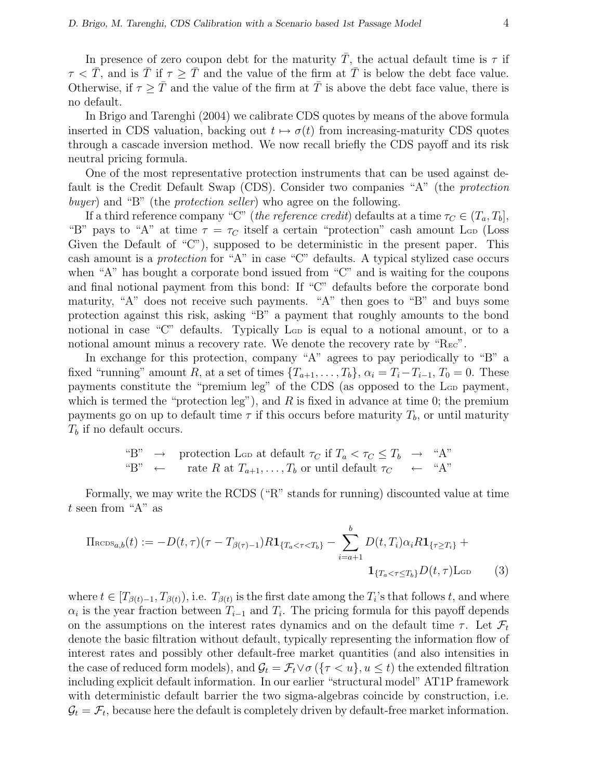In presence of zero coupon debt for the maturity  $\overline{T}$ , the actual default time is  $\tau$  if  $\tau < \overline{T}$ , and is  $\overline{T}$  if  $\tau \geq \overline{T}$  and the value of the firm at  $\overline{T}$  is below the debt face value. Otherwise, if  $\tau \geq \overline{T}$  and the value of the firm at  $\overline{T}$  is above the debt face value, there is no default.

In Brigo and Tarenghi (2004) we calibrate CDS quotes by means of the above formula inserted in CDS valuation, backing out  $t \mapsto \sigma(t)$  from increasing-maturity CDS quotes through a cascade inversion method. We now recall briefly the CDS payoff and its risk neutral pricing formula.

One of the most representative protection instruments that can be used against default is the Credit Default Swap (CDS). Consider two companies "A" (the protection buyer) and "B" (the *protection seller*) who agree on the following.

If a third reference company "C" (the reference credit) defaults at a time  $\tau_C \in (T_a, T_b]$ , "B" pays to "A" at time  $\tau = \tau_C$  itself a certain "protection" cash amount L<sub>GD</sub> (Loss Given the Default of "C"), supposed to be deterministic in the present paper. This cash amount is a protection for "A" in case "C" defaults. A typical stylized case occurs when "A" has bought a corporate bond issued from "C" and is waiting for the coupons and final notional payment from this bond: If "C" defaults before the corporate bond maturity, "A" does not receive such payments. "A" then goes to "B" and buys some protection against this risk, asking "B" a payment that roughly amounts to the bond notional in case " $C$ " defaults. Typically  $L_{GD}$  is equal to a notional amount, or to a notional amount minus a recovery rate. We denote the recovery rate by "R<sub>EC</sub>".

In exchange for this protection, company "A" agrees to pay periodically to "B" a fixed "running" amount R, at a set of times  $\{T_{a+1}, \ldots, T_b\}$ ,  $\alpha_i = T_i - T_{i-1}$ ,  $T_0 = 0$ . These payments constitute the "premium leg" of the CDS (as opposed to the L<sub>GD</sub> payment, which is termed the "protection leg"), and  $R$  is fixed in advance at time 0; the premium payments go on up to default time  $\tau$  if this occurs before maturity  $T_b$ , or until maturity  $T_b$  if no default occurs.

"
$$
B
$$
"  $\rightarrow$  protection  $L_{\text{CD}}$  at default  $\tau_C$  if  $T_a < \tau_C \leq T_b$   $\rightarrow$  "A"   
 "B"  $\leftarrow$  rate  $R$  at  $T_{a+1}, \ldots, T_b$  or until default  $\tau_C$   $\leftarrow$  "A"

Formally, we may write the RCDS ("R" stands for running) discounted value at time  $t$  seen from "A" as

$$
\Pi_{\text{RCDS}_{a,b}}(t) := -D(t,\tau)(\tau - T_{\beta(\tau)-1})R\mathbf{1}_{\{T_a < \tau < T_b\}} - \sum_{i=a+1}^b D(t,T_i)\alpha_i R\mathbf{1}_{\{\tau \ge T_i\}} + \mathbf{1}_{\{T_a < \tau \le T_b\}} D(t,\tau)\mathbf{L}_{\text{GD}} \tag{3}
$$

where  $t \in [T_{\beta(t)-1}, T_{\beta(t)})$ , i.e.  $T_{\beta(t)}$  is the first date among the  $T_i$ 's that follows t, and where  $\alpha_i$  is the year fraction between  $T_{i-1}$  and  $T_i$ . The pricing formula for this payoff depends on the assumptions on the interest rates dynamics and on the default time  $\tau$ . Let  $\mathcal{F}_t$ denote the basic filtration without default, typically representing the information flow of interest rates and possibly other default-free market quantities (and also intensities in the case of reduced form models), and  $\mathcal{G}_t = \mathcal{F}_t \vee \sigma (\{\tau < u\}, u \leq t)$  the extended filtration including explicit default information. In our earlier "structural model" AT1P framework with deterministic default barrier the two sigma-algebras coincide by construction, i.e.  $\mathcal{G}_t = \mathcal{F}_t$ , because here the default is completely driven by default-free market information.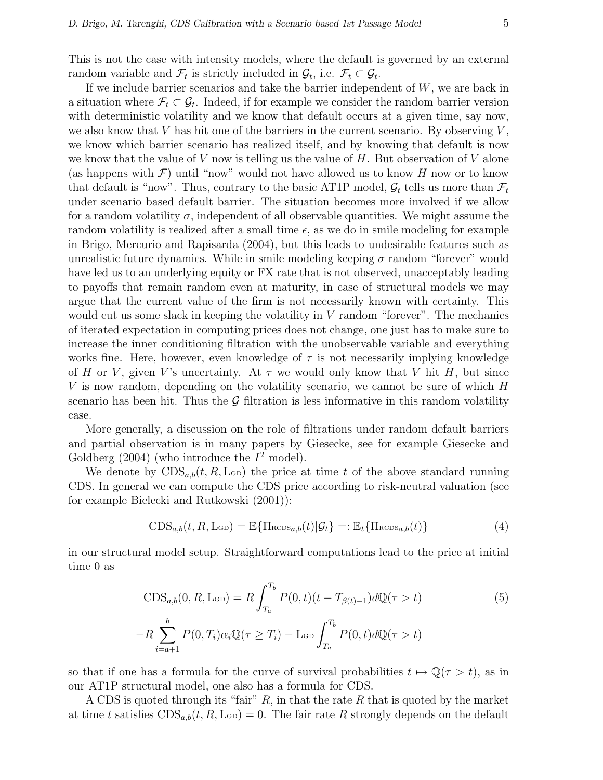This is not the case with intensity models, where the default is governed by an external random variable and  $\mathcal{F}_t$  is strictly included in  $\mathcal{G}_t$ , i.e.  $\mathcal{F}_t \subset \mathcal{G}_t$ .

If we include barrier scenarios and take the barrier independent of  $W$ , we are back in a situation where  $\mathcal{F}_t \subset \mathcal{G}_t$ . Indeed, if for example we consider the random barrier version with deterministic volatility and we know that default occurs at a given time, say now, we also know that V has hit one of the barriers in the current scenario. By observing  $V$ , we know which barrier scenario has realized itself, and by knowing that default is now we know that the value of V now is telling us the value of  $H$ . But observation of V alone (as happens with  $\mathcal{F}$ ) until "now" would not have allowed us to know H now or to know that default is "now". Thus, contrary to the basic AT1P model,  $\mathcal{G}_t$  tells us more than  $\mathcal{F}_t$ under scenario based default barrier. The situation becomes more involved if we allow for a random volatility  $\sigma$ , independent of all observable quantities. We might assume the random volatility is realized after a small time  $\epsilon$ , as we do in smile modeling for example in Brigo, Mercurio and Rapisarda (2004), but this leads to undesirable features such as unrealistic future dynamics. While in smile modeling keeping  $\sigma$  random "forever" would have led us to an underlying equity or FX rate that is not observed, unacceptably leading to payoffs that remain random even at maturity, in case of structural models we may argue that the current value of the firm is not necessarily known with certainty. This would cut us some slack in keeping the volatility in  $V$  random "forever". The mechanics of iterated expectation in computing prices does not change, one just has to make sure to increase the inner conditioning filtration with the unobservable variable and everything works fine. Here, however, even knowledge of  $\tau$  is not necessarily implying knowledge of H or V, given V's uncertainty. At  $\tau$  we would only know that V hit H, but since V is now random, depending on the volatility scenario, we cannot be sure of which H scenario has been hit. Thus the  $G$  filtration is less informative in this random volatility case.

More generally, a discussion on the role of filtrations under random default barriers and partial observation is in many papers by Giesecke, see for example Giesecke and Goldberg (2004) (who introduce the  $I^2$  model).

We denote by  $CDS_{a,b}(t, R, \text{L}_{GD})$  the price at time t of the above standard running CDS. In general we can compute the CDS price according to risk-neutral valuation (see for example Bielecki and Rutkowski (2001)):

$$
CDS_{a,b}(t, R, \text{Lop}) = \mathbb{E}\{\Pi_{\text{RCDS}_{a,b}}(t)|\mathcal{G}_t\} =: \mathbb{E}_t\{\Pi_{\text{RCDS}_{a,b}}(t)\}\tag{4}
$$

in our structural model setup. Straightforward computations lead to the price at initial time 0 as

$$
CDS_{a,b}(0, R, \text{LGD}) = R \int_{T_a}^{T_b} P(0, t)(t - T_{\beta(t)-1}) d\mathbb{Q}(\tau > t)
$$
\n
$$
-R \sum_{i=a+1}^{b} P(0, T_i) \alpha_i \mathbb{Q}(\tau \ge T_i) - \text{LGD} \int_{T_a}^{T_b} P(0, t) d\mathbb{Q}(\tau > t)
$$
\n
$$
(5)
$$

so that if one has a formula for the curve of survival probabilities  $t \mapsto \mathbb{Q}(\tau > t)$ , as in our AT1P structural model, one also has a formula for CDS.

A CDS is quoted through its "fair"  $R$ , in that the rate R that is quoted by the market at time t satisfies  $CDS_{a,b}(t, R, \text{L}\text{G}) = 0$ . The fair rate R strongly depends on the default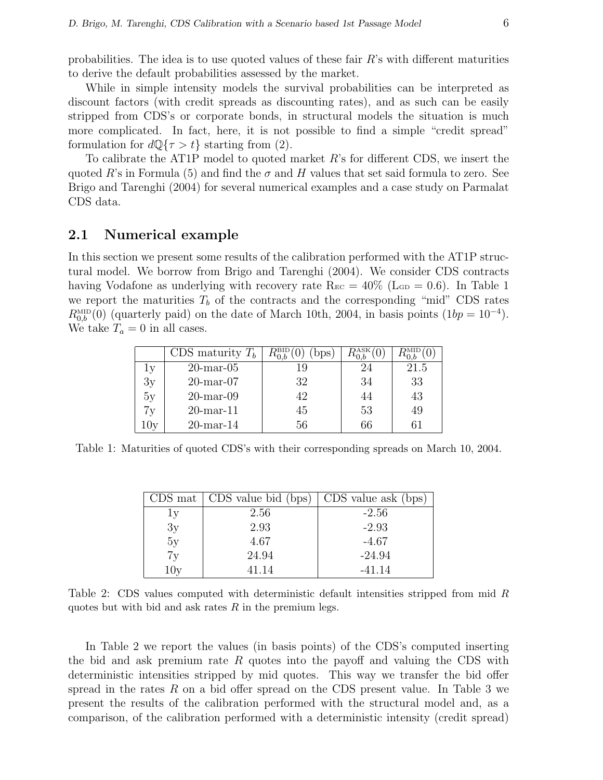probabilities. The idea is to use quoted values of these fair  $R$ 's with different maturities to derive the default probabilities assessed by the market.

While in simple intensity models the survival probabilities can be interpreted as discount factors (with credit spreads as discounting rates), and as such can be easily stripped from CDS's or corporate bonds, in structural models the situation is much more complicated. In fact, here, it is not possible to find a simple "credit spread" formulation for  $d\mathbb{Q}\{\tau > t\}$  starting from (2).

To calibrate the AT1P model to quoted market  $R$ 's for different CDS, we insert the quoted R's in Formula (5) and find the  $\sigma$  and H values that set said formula to zero. See Brigo and Tarenghi (2004) for several numerical examples and a case study on Parmalat CDS data.

#### 2.1 Numerical example

In this section we present some results of the calibration performed with the AT1P structural model. We borrow from Brigo and Tarenghi (2004). We consider CDS contracts having Vodafone as underlying with recovery rate  $\text{R}_{\text{EC}} = 40\%$  (L<sub>GD</sub> = 0.6). In Table 1 we report the maturities  $T_b$  of the contracts and the corresponding "mid" CDS rates  $R_{0,b}^{\text{MID}}(0)$  (quarterly paid) on the date of March 10th, 2004, in basis points  $(1bp = 10^{-4})$ . We take  $T_a = 0$  in all cases.

|     | CDS maturity $T_b$ | DDS |    |      |
|-----|--------------------|-----|----|------|
| 1y  | $20$ -mar- $05$    | 19  | 24 | 21.5 |
| 3y  | $20$ -mar- $07$    | 32  | 34 | 33   |
| 5y  | $20$ -mar-09       | 42  | 44 | 43   |
| 7v  | $20$ -mar-11       | 45  | 53 | 49   |
| ⊥Uy | $20$ -mar-14       | 56  | 66 |      |

Table 1: Maturities of quoted CDS's with their corresponding spreads on March 10, 2004.

| $CDS$ mat  | CDS value bid (bps) | CDS value ask (bps) |
|------------|---------------------|---------------------|
| 1v         | 2.56                | $-2.56$             |
| 3y         | 2.93                | $-2.93$             |
| 5y         | 4.67                | $-4.67$             |
| 7v         | 24.94               | $-24.94$            |
| $10\rm{v}$ | 41.14               | $-41.14$            |

Table 2: CDS values computed with deterministic default intensities stripped from mid R quotes but with bid and ask rates  $R$  in the premium legs.

In Table 2 we report the values (in basis points) of the CDS's computed inserting the bid and ask premium rate  $R$  quotes into the payoff and valuing the CDS with deterministic intensities stripped by mid quotes. This way we transfer the bid offer spread in the rates  $R$  on a bid offer spread on the CDS present value. In Table 3 we present the results of the calibration performed with the structural model and, as a comparison, of the calibration performed with a deterministic intensity (credit spread)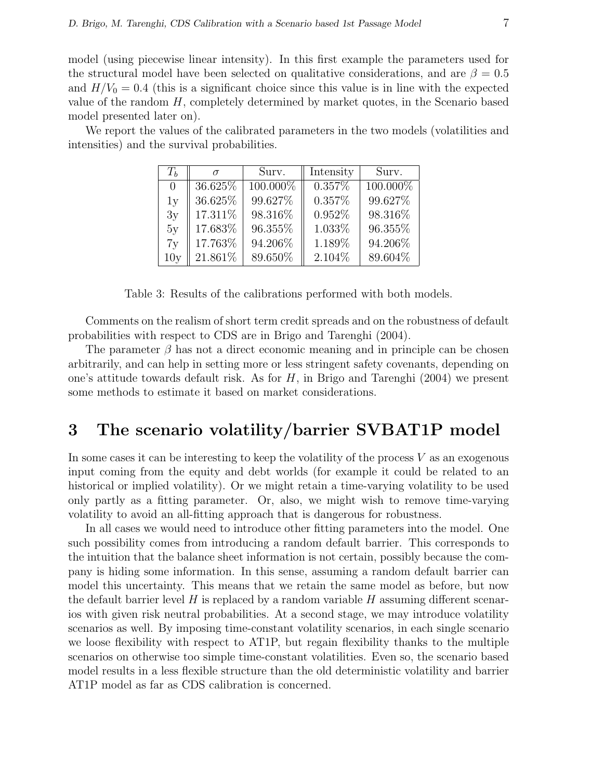model (using piecewise linear intensity). In this first example the parameters used for the structural model have been selected on qualitative considerations, and are  $\beta = 0.5$ and  $H/V_0 = 0.4$  (this is a significant choice since this value is in line with the expected value of the random  $H$ , completely determined by market quotes, in the Scenario based model presented later on).

We report the values of the calibrated parameters in the two models (volatilities and intensities) and the survival probabilities.

| $T_{b}$  | $\sigma$ | Surv.    | Intensity | Surv.    |
|----------|----------|----------|-----------|----------|
| $\theta$ | 36.625%  | 100.000% | 0.357%    | 100.000% |
| 1v       | 36.625%  | 99.627%  | 0.357%    | 99.627%  |
| 3y       | 17.311\% | 98.316%  | $0.952\%$ | 98.316%  |
| 5v       | 17.683%  | 96.355%  | 1.033%    | 96.355%  |
| 7v       | 17.763%  | 94.206%  | 1.189%    | 94.206%  |
| 10v      | 21.861\% | 89.650%  | 2.104\%   | 89.604%  |

Table 3: Results of the calibrations performed with both models.

Comments on the realism of short term credit spreads and on the robustness of default probabilities with respect to CDS are in Brigo and Tarenghi (2004).

The parameter  $\beta$  has not a direct economic meaning and in principle can be chosen arbitrarily, and can help in setting more or less stringent safety covenants, depending on one's attitude towards default risk. As for  $H$ , in Brigo and Tarenghi (2004) we present some methods to estimate it based on market considerations.

# 3 The scenario volatility/barrier SVBAT1P model

In some cases it can be interesting to keep the volatility of the process  $V$  as an exogenous input coming from the equity and debt worlds (for example it could be related to an historical or implied volatility). Or we might retain a time-varying volatility to be used only partly as a fitting parameter. Or, also, we might wish to remove time-varying volatility to avoid an all-fitting approach that is dangerous for robustness.

In all cases we would need to introduce other fitting parameters into the model. One such possibility comes from introducing a random default barrier. This corresponds to the intuition that the balance sheet information is not certain, possibly because the company is hiding some information. In this sense, assuming a random default barrier can model this uncertainty. This means that we retain the same model as before, but now the default barrier level  $H$  is replaced by a random variable  $H$  assuming different scenarios with given risk neutral probabilities. At a second stage, we may introduce volatility scenarios as well. By imposing time-constant volatility scenarios, in each single scenario we loose flexibility with respect to AT1P, but regain flexibility thanks to the multiple scenarios on otherwise too simple time-constant volatilities. Even so, the scenario based model results in a less flexible structure than the old deterministic volatility and barrier AT1P model as far as CDS calibration is concerned.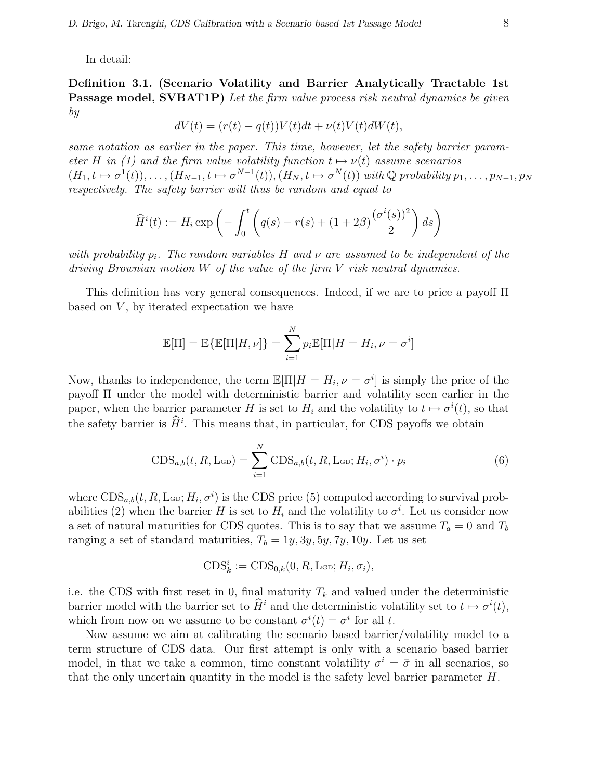In detail:

Definition 3.1. (Scenario Volatility and Barrier Analytically Tractable 1st Passage model, SVBAT1P) Let the firm value process risk neutral dynamics be given by

$$
dV(t) = (r(t) - q(t))V(t)dt + \nu(t)V(t)dW(t),
$$

same notation as earlier in the paper. This time, however, let the safety barrier parameter H in (1) and the firm value volatility function  $t \mapsto \nu(t)$  assume scenarios  $(H_1, t \mapsto \sigma^1(t)), \ldots, (H_{N-1}, t \mapsto \sigma^{N-1}(t)), (H_N, t \mapsto \sigma^N(t))$  with  $\mathbb{Q}$  probability  $p_1, \ldots, p_{N-1}, p_N$ respectively. The safety barrier will thus be random and equal to

$$
\widehat{H}^i(t) := H_i \exp\left(-\int_0^t \left(q(s) - r(s) + (1+2\beta) \frac{(\sigma^i(s))^2}{2}\right) ds\right)
$$

with probability  $p_i$ . The random variables H and  $\nu$  are assumed to be independent of the driving Brownian motion  $W$  of the value of the firm  $V$  risk neutral dynamics.

This definition has very general consequences. Indeed, if we are to price a payoff Π based on  $V$ , by iterated expectation we have

$$
\mathbb{E}[\Pi] = \mathbb{E}\{\mathbb{E}[\Pi|H,\nu]\} = \sum_{i=1}^{N} p_i \mathbb{E}[\Pi|H = H_i, \nu = \sigma^i]
$$

Now, thanks to independence, the term  $\mathbb{E}[\Pi|H = H_i, \nu = \sigma^i]$  is simply the price of the payoff Π under the model with deterministic barrier and volatility seen earlier in the paper, when the barrier parameter H is set to  $H_i$  and the volatility to  $t \mapsto \sigma^i(t)$ , so that the safety barrier is  $\widehat{H}^i$ . This means that, in particular, for CDS payoffs we obtain

$$
\text{CDS}_{a,b}(t, R, \text{LGD}) = \sum_{i=1}^{N} \text{CDS}_{a,b}(t, R, \text{LGD}; H_i, \sigma^i) \cdot p_i \tag{6}
$$

where  $CDS_{a,b}(t, R, \text{L}\text{G}D; H_i, \sigma^i)$  is the CDS price (5) computed according to survival probabilities (2) when the barrier H is set to  $H_i$  and the volatility to  $\sigma^i$ . Let us consider now a set of natural maturities for CDS quotes. This is to say that we assume  $T_a = 0$  and  $T_b$ ranging a set of standard maturities,  $T_b = 1y, 3y, 5y, 7y, 10y$ . Let us set

$$
\text{CDS}_k^i := \text{CDS}_{0,k}(0, R, \text{L}\mathbf{G}\mathbf{D}; H_i, \sigma_i),
$$

i.e. the CDS with first reset in 0, final maturity  $T_k$  and valued under the deterministic barrier model with the barrier set to  $\widehat{H}^i$  and the deterministic volatility set to  $t \mapsto \sigma^i(t)$ , which from now on we assume to be constant  $\sigma^{i}(t) = \sigma^{i}$  for all t.

Now assume we aim at calibrating the scenario based barrier/volatility model to a term structure of CDS data. Our first attempt is only with a scenario based barrier model, in that we take a common, time constant volatility  $\sigma^i = \bar{\sigma}$  in all scenarios, so that the only uncertain quantity in the model is the safety level barrier parameter H.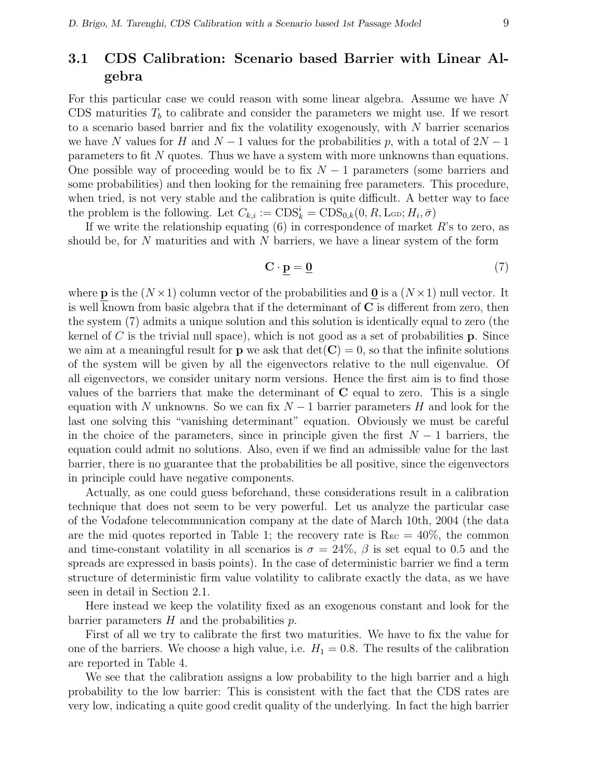#### 3.1 CDS Calibration: Scenario based Barrier with Linear Algebra

For this particular case we could reason with some linear algebra. Assume we have N CDS maturities  $T<sub>b</sub>$  to calibrate and consider the parameters we might use. If we resort to a scenario based barrier and fix the volatility exogenously, with  $N$  barrier scenarios we have N values for H and  $N-1$  values for the probabilities p, with a total of  $2N-1$ parameters to fit N quotes. Thus we have a system with more unknowns than equations. One possible way of proceeding would be to fix  $N-1$  parameters (some barriers and some probabilities) and then looking for the remaining free parameters. This procedure, when tried, is not very stable and the calibration is quite difficult. A better way to face the problem is the following. Let  $C_{k,i} := \text{CDS}_k^i = \text{CDS}_{0,k}(0, R, \text{L}_{\text{GD}}; H_i, \bar{\sigma})$ 

If we write the relationship equating  $(6)$  in correspondence of market R's to zero, as should be, for  $N$  maturities and with  $N$  barriers, we have a linear system of the form

$$
\mathbf{C} \cdot \mathbf{p} = \underline{\mathbf{0}} \tag{7}
$$

where **p** is the  $(N \times 1)$  column vector of the probabilities and **Q** is a  $(N \times 1)$  null vector. It is well known from basic algebra that if the determinant of  $C$  is different from zero, then the system (7) admits a unique solution and this solution is identically equal to zero (the kernel of C is the trivial null space), which is not good as a set of probabilities  $\bf{p}$ . Since we aim at a meaningful result for **p** we ask that  $det(C) = 0$ , so that the infinite solutions of the system will be given by all the eigenvectors relative to the null eigenvalue. Of all eigenvectors, we consider unitary norm versions. Hence the first aim is to find those values of the barriers that make the determinant of  $C$  equal to zero. This is a single equation with N unknowns. So we can fix  $N-1$  barrier parameters H and look for the last one solving this "vanishing determinant" equation. Obviously we must be careful in the choice of the parameters, since in principle given the first  $N-1$  barriers, the equation could admit no solutions. Also, even if we find an admissible value for the last barrier, there is no guarantee that the probabilities be all positive, since the eigenvectors in principle could have negative components.

Actually, as one could guess beforehand, these considerations result in a calibration technique that does not seem to be very powerful. Let us analyze the particular case of the Vodafone telecommunication company at the date of March 10th, 2004 (the data are the mid quotes reported in Table 1; the recovery rate is  $\text{R}_{\text{EC}} = 40\%$ , the common and time-constant volatility in all scenarios is  $\sigma = 24\%$ ,  $\beta$  is set equal to 0.5 and the spreads are expressed in basis points). In the case of deterministic barrier we find a term structure of deterministic firm value volatility to calibrate exactly the data, as we have seen in detail in Section 2.1.

Here instead we keep the volatility fixed as an exogenous constant and look for the barrier parameters  $H$  and the probabilities  $p$ .

First of all we try to calibrate the first two maturities. We have to fix the value for one of the barriers. We choose a high value, i.e.  $H_1 = 0.8$ . The results of the calibration are reported in Table 4.

We see that the calibration assigns a low probability to the high barrier and a high probability to the low barrier: This is consistent with the fact that the CDS rates are very low, indicating a quite good credit quality of the underlying. In fact the high barrier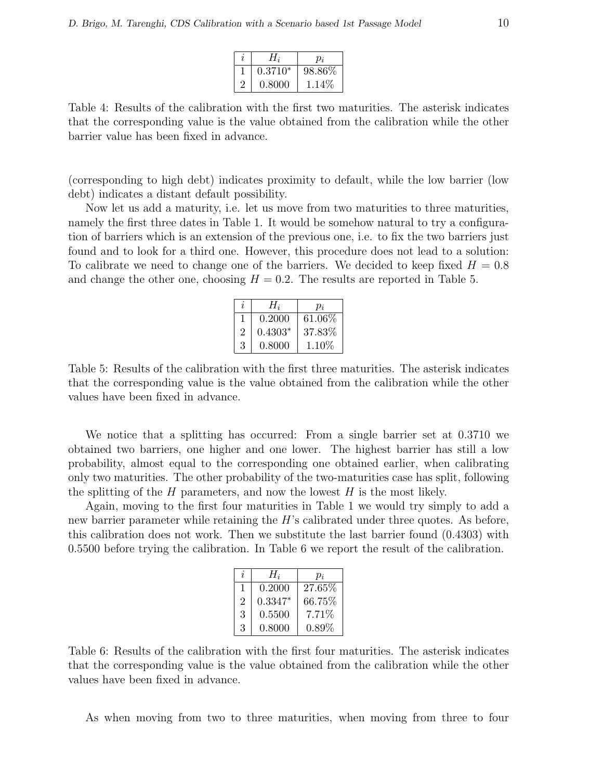|  | H.        | $p_i$  |
|--|-----------|--------|
|  | $0.3710*$ | 98.86% |
|  | 0.8000    | 1.14\% |

Table 4: Results of the calibration with the first two maturities. The asterisk indicates that the corresponding value is the value obtained from the calibration while the other barrier value has been fixed in advance.

(corresponding to high debt) indicates proximity to default, while the low barrier (low debt) indicates a distant default possibility.

Now let us add a maturity, i.e. let us move from two maturities to three maturities, namely the first three dates in Table 1. It would be somehow natural to try a configuration of barriers which is an extension of the previous one, i.e. to fix the two barriers just found and to look for a third one. However, this procedure does not lead to a solution: To calibrate we need to change one of the barriers. We decided to keep fixed  $H = 0.8$ and change the other one, choosing  $H = 0.2$ . The results are reported in Table 5.

| i.             | $H_i$     | $p_i$     |
|----------------|-----------|-----------|
|                | 0.2000    | $61.06\%$ |
| $\overline{2}$ | $0.4303*$ | 37.83%    |
| 3              | 0.8000    | 1.10\%    |

Table 5: Results of the calibration with the first three maturities. The asterisk indicates that the corresponding value is the value obtained from the calibration while the other values have been fixed in advance.

We notice that a splitting has occurred: From a single barrier set at 0.3710 we obtained two barriers, one higher and one lower. The highest barrier has still a low probability, almost equal to the corresponding one obtained earlier, when calibrating only two maturities. The other probability of the two-maturities case has split, following the splitting of the  $H$  parameters, and now the lowest  $H$  is the most likely.

Again, moving to the first four maturities in Table 1 we would try simply to add a new barrier parameter while retaining the  $H$ 's calibrated under three quotes. As before, this calibration does not work. Then we substitute the last barrier found (0.4303) with 0.5500 before trying the calibration. In Table 6 we report the result of the calibration.

| i.             | $H_i$     | $p_i$    |
|----------------|-----------|----------|
| 1              | 0.2000    | 27.65%   |
| $\overline{2}$ | $0.3347*$ | 66.75%   |
| 3              | 0.5500    | $7.71\%$ |
| 3              | 0.8000    | $0.89\%$ |

Table 6: Results of the calibration with the first four maturities. The asterisk indicates that the corresponding value is the value obtained from the calibration while the other values have been fixed in advance.

As when moving from two to three maturities, when moving from three to four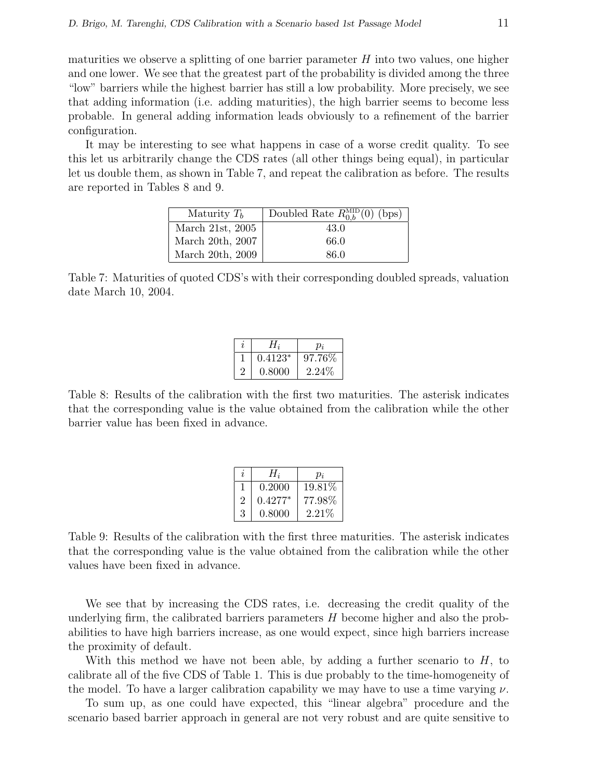maturities we observe a splitting of one barrier parameter  $H$  into two values, one higher and one lower. We see that the greatest part of the probability is divided among the three "low" barriers while the highest barrier has still a low probability. More precisely, we see that adding information (i.e. adding maturities), the high barrier seems to become less probable. In general adding information leads obviously to a refinement of the barrier configuration.

It may be interesting to see what happens in case of a worse credit quality. To see this let us arbitrarily change the CDS rates (all other things being equal), in particular let us double them, as shown in Table 7, and repeat the calibration as before. The results are reported in Tables 8 and 9.

| Maturity $T_b$   | Doubled Rate $R_{0h}^{MID}(0)$ (bps) |
|------------------|--------------------------------------|
| March 21st, 2005 | 43.0                                 |
| March 20th, 2007 | 66.0                                 |
| March 20th, 2009 | 86.0                                 |

Table 7: Maturities of quoted CDS's with their corresponding doubled spreads, valuation date March 10, 2004.

| $H_i$     | $p_i$  |
|-----------|--------|
| $0.4123*$ | 97.76% |
| 0.8000    | 2.24\% |

Table 8: Results of the calibration with the first two maturities. The asterisk indicates that the corresponding value is the value obtained from the calibration while the other barrier value has been fixed in advance.

|                | $H_i$     | $p_i$    |
|----------------|-----------|----------|
|                | 0.2000    | 19.81%   |
| $\overline{2}$ | $0.4277*$ | 77.98%   |
| 3              | 0.8000    | $2.21\%$ |

Table 9: Results of the calibration with the first three maturities. The asterisk indicates that the corresponding value is the value obtained from the calibration while the other values have been fixed in advance.

We see that by increasing the CDS rates, i.e. decreasing the credit quality of the underlying firm, the calibrated barriers parameters H become higher and also the probabilities to have high barriers increase, as one would expect, since high barriers increase the proximity of default.

With this method we have not been able, by adding a further scenario to  $H$ , to calibrate all of the five CDS of Table 1. This is due probably to the time-homogeneity of the model. To have a larger calibration capability we may have to use a time varying  $\nu$ .

To sum up, as one could have expected, this "linear algebra" procedure and the scenario based barrier approach in general are not very robust and are quite sensitive to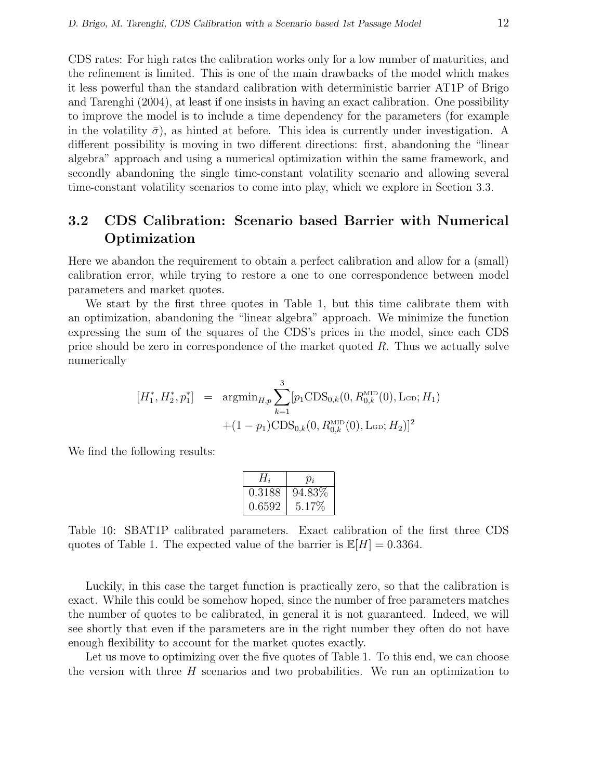CDS rates: For high rates the calibration works only for a low number of maturities, and the refinement is limited. This is one of the main drawbacks of the model which makes it less powerful than the standard calibration with deterministic barrier AT1P of Brigo and Tarenghi (2004), at least if one insists in having an exact calibration. One possibility to improve the model is to include a time dependency for the parameters (for example in the volatility  $\bar{\sigma}$ ), as hinted at before. This idea is currently under investigation. A different possibility is moving in two different directions: first, abandoning the "linear algebra" approach and using a numerical optimization within the same framework, and secondly abandoning the single time-constant volatility scenario and allowing several time-constant volatility scenarios to come into play, which we explore in Section 3.3.

# 3.2 CDS Calibration: Scenario based Barrier with Numerical Optimization

Here we abandon the requirement to obtain a perfect calibration and allow for a (small) calibration error, while trying to restore a one to one correspondence between model parameters and market quotes.

We start by the first three quotes in Table 1, but this time calibrate them with an optimization, abandoning the "linear algebra" approach. We minimize the function expressing the sum of the squares of the CDS's prices in the model, since each CDS price should be zero in correspondence of the market quoted  $R$ . Thus we actually solve numerically

$$
[H_1^*, H_2^*, p_1^*] = \operatorname{argmin}_{H, p} \sum_{k=1}^3 [p_1 \text{CDS}_{0,k}(0, R_{0,k}^{\text{MID}}(0), \text{L}_{\text{GD}}; H_1) + (1 - p_1) \text{CDS}_{0,k}(0, R_{0,k}^{\text{MID}}(0), \text{L}_{\text{GD}}; H_2)]^2
$$

We find the following results:

| $H_i$  | $p_i$  |
|--------|--------|
| 0.3188 | 94.83% |
| 0.6592 | 5.17\% |

Table 10: SBAT1P calibrated parameters. Exact calibration of the first three CDS quotes of Table 1. The expected value of the barrier is  $\mathbb{E}[H] = 0.3364$ .

Luckily, in this case the target function is practically zero, so that the calibration is exact. While this could be somehow hoped, since the number of free parameters matches the number of quotes to be calibrated, in general it is not guaranteed. Indeed, we will see shortly that even if the parameters are in the right number they often do not have enough flexibility to account for the market quotes exactly.

Let us move to optimizing over the five quotes of Table 1. To this end, we can choose the version with three  $H$  scenarios and two probabilities. We run an optimization to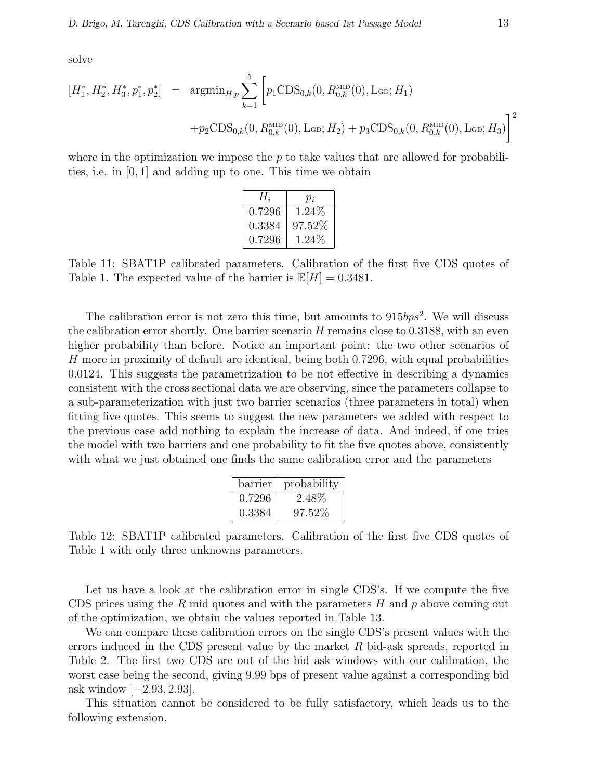solve

$$
[H_1^*, H_2^*, H_3^*, p_1^*, p_2^*] = \operatorname{argmin}_{H, p} \sum_{k=1}^5 \left[ p_1 \text{CDS}_{0,k}(0, R_{0,k}^{\text{MID}}(0), \text{L}_{\text{GD}}; H_1) + p_2 \text{CDS}_{0,k}(0, R_{0,k}^{\text{MID}}(0), \text{L}_{\text{GD}}; H_2) + p_3 \text{CDS}_{0,k}(0, R_{0,k}^{\text{MID}}(0), \text{L}_{\text{GD}}; H_3) \right]^2
$$

where in the optimization we impose the  $p$  to take values that are allowed for probabilities, i.e. in [0, 1] and adding up to one. This time we obtain

| $H_i$  | $p_i$    |
|--------|----------|
| 0.7296 | $1.24\%$ |
| 0.3384 | 97.52%   |
| 0.7296 | $1.24\%$ |

Table 11: SBAT1P calibrated parameters. Calibration of the first five CDS quotes of Table 1. The expected value of the barrier is  $\mathbb{E}[H] = 0.3481$ .

The calibration error is not zero this time, but amounts to  $915bps^2$ . We will discuss the calibration error shortly. One barrier scenario  $H$  remains close to 0.3188, with an even higher probability than before. Notice an important point: the two other scenarios of H more in proximity of default are identical, being both 0.7296, with equal probabilities 0.0124. This suggests the parametrization to be not effective in describing a dynamics consistent with the cross sectional data we are observing, since the parameters collapse to a sub-parameterization with just two barrier scenarios (three parameters in total) when fitting five quotes. This seems to suggest the new parameters we added with respect to the previous case add nothing to explain the increase of data. And indeed, if one tries the model with two barriers and one probability to fit the five quotes above, consistently with what we just obtained one finds the same calibration error and the parameters

| barrier | probability |
|---------|-------------|
| 0.7296  | 2.48\%      |
| 0.3384  | 97.52%      |

Table 12: SBAT1P calibrated parameters. Calibration of the first five CDS quotes of Table 1 with only three unknowns parameters.

Let us have a look at the calibration error in single CDS's. If we compute the five CDS prices using the R mid quotes and with the parameters H and p above coming out of the optimization, we obtain the values reported in Table 13.

We can compare these calibration errors on the single CDS's present values with the errors induced in the CDS present value by the market  $R$  bid-ask spreads, reported in Table 2. The first two CDS are out of the bid ask windows with our calibration, the worst case being the second, giving 9.99 bps of present value against a corresponding bid ask window [−2.93, 2.93].

This situation cannot be considered to be fully satisfactory, which leads us to the following extension.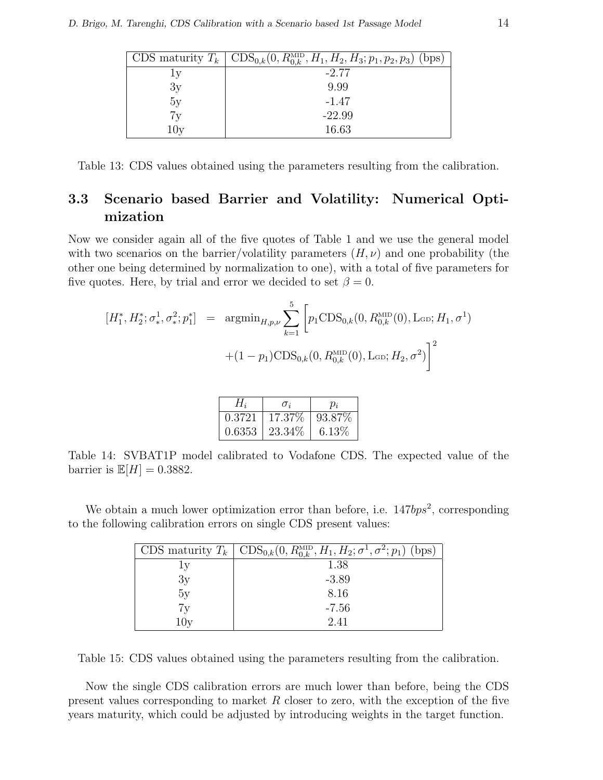|            | CDS maturity $T_k   \text{CDS}_{0,k}(0, R_{0,k}^{\text{MID}}, H_1, H_2, H_3; p_1, p_2, p_3)$ (bps) |
|------------|----------------------------------------------------------------------------------------------------|
|            | -2.77                                                                                              |
| 3y         | 9.99                                                                                               |
| 5y         | $-1.47$                                                                                            |
| 7v         | $-22.99$                                                                                           |
| $10\rm{v}$ | 16.63                                                                                              |

Table 13: CDS values obtained using the parameters resulting from the calibration.

# 3.3 Scenario based Barrier and Volatility: Numerical Optimization

Now we consider again all of the five quotes of Table 1 and we use the general model with two scenarios on the barrier/volatility parameters  $(H, \nu)$  and one probability (the other one being determined by normalization to one), with a total of five parameters for five quotes. Here, by trial and error we decided to set  $\beta = 0$ .

$$
[H_1^*, H_2^*; \sigma_*^1, \sigma_*^2; p_1^*] = \operatorname{argmin}_{H, p, \nu} \sum_{k=1}^5 \left[ p_1 \text{CDS}_{0,k}(0, R_{0,k}^{\text{MID}}(0), \text{L}_{\text{GD}}; H_1, \sigma^1) + (1 - p_1) \text{CDS}_{0,k}(0, R_{0,k}^{\text{MID}}(0), \text{L}_{\text{GD}}; H_2, \sigma^2) \right]^2
$$

| $H_i$  | $\sigma_i$ | $p_i$    |
|--------|------------|----------|
| 0.3721 | 17.37\%    | 93.87%   |
| 0.6353 | 23.34\%    | $6.13\%$ |

Table 14: SVBAT1P model calibrated to Vodafone CDS. The expected value of the barrier is  $\mathbb{E}[H] = 0.3882$ .

We obtain a much lower optimization error than before, i.e.  $147bps^2$ , corresponding to the following calibration errors on single CDS present values:

|     | CDS maturity $T_k$ CDS <sub>0,k</sub> (0, $R_{0,k}^{\text{MD}}, H_1, H_2; \sigma^1, \sigma^2; p_1$ ) (bps) |
|-----|------------------------------------------------------------------------------------------------------------|
| Γy  | 1.38                                                                                                       |
| 3y  | $-3.89$                                                                                                    |
| 5y  | 8.16                                                                                                       |
| / v | $-7.56$                                                                                                    |
| 10v | 2.41                                                                                                       |

Table 15: CDS values obtained using the parameters resulting from the calibration.

Now the single CDS calibration errors are much lower than before, being the CDS present values corresponding to market  $R$  closer to zero, with the exception of the five years maturity, which could be adjusted by introducing weights in the target function.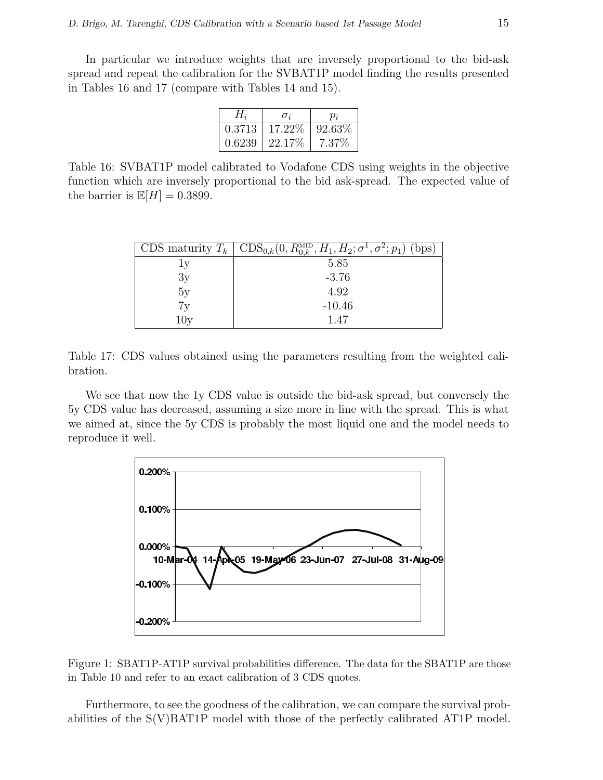In particular we introduce weights that are inversely proportional to the bid-ask spread and repeat the calibration for the SVBAT1P model finding the results presented in Tables 16 and 17 (compare with Tables 14 and 15).

| $H_i$  | $\sigma_i$ | $p_i$  |
|--------|------------|--------|
| 0.3713 | 17.22\%    | 92.63% |
| 0.6239 | 22.17\%    | 7.37\% |

Table 16: SVBAT1P model calibrated to Vodafone CDS using weights in the objective function which are inversely proportional to the bid ask-spread. The expected value of the barrier is  $\mathbb{E}[H] = 0.3899$ .

|     | CDS maturity $T_k   \text{CDS}_{0,k}(0, R^{\text{MD}}_{0,k}, H_1, H_2; \sigma^1, \sigma^2; p_1)$ (bps) |
|-----|--------------------------------------------------------------------------------------------------------|
| ⊥V  | 5.85                                                                                                   |
| 3y  | $-3.76$                                                                                                |
| 5y  | 4.92                                                                                                   |
|     | $-10.46$                                                                                               |
| 10y | 1.47                                                                                                   |

Table 17: CDS values obtained using the parameters resulting from the weighted calibration.

We see that now the 1y CDS value is outside the bid-ask spread, but conversely the 5y CDS value has decreased, assuming a size more in line with the spread. This is what we aimed at, since the 5y CDS is probably the most liquid one and the model needs to reproduce it well.



Figure 1: SBAT1P-AT1P survival probabilities difference. The data for the SBAT1P are those in Table 10 and refer to an exact calibration of 3 CDS quotes.

Furthermore, to see the goodness of the calibration, we can compare the survival probabilities of the S(V)BAT1P model with those of the perfectly calibrated AT1P model.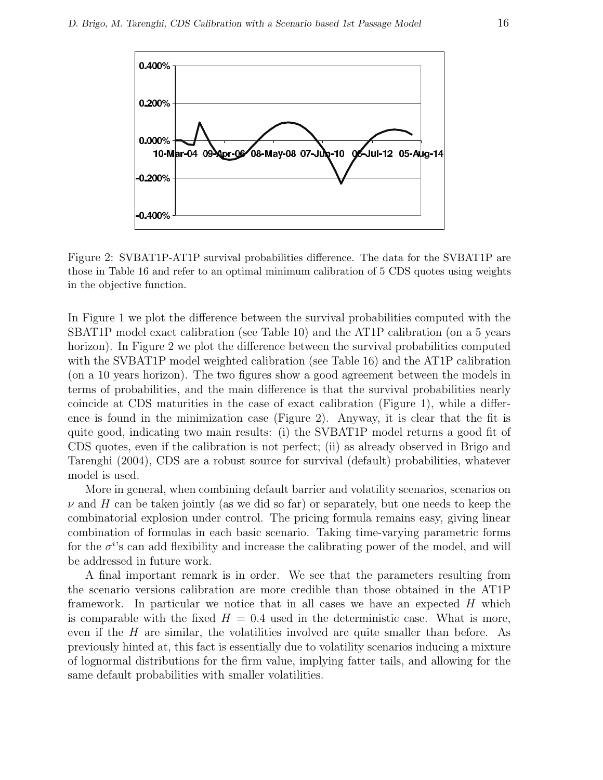

Figure 2: SVBAT1P-AT1P survival probabilities difference. The data for the SVBAT1P are those in Table 16 and refer to an optimal minimum calibration of 5 CDS quotes using weights in the objective function.

In Figure 1 we plot the difference between the survival probabilities computed with the SBAT1P model exact calibration (see Table 10) and the AT1P calibration (on a 5 years horizon). In Figure 2 we plot the difference between the survival probabilities computed with the SVBAT1P model weighted calibration (see Table 16) and the AT1P calibration (on a 10 years horizon). The two figures show a good agreement between the models in terms of probabilities, and the main difference is that the survival probabilities nearly coincide at CDS maturities in the case of exact calibration (Figure 1), while a difference is found in the minimization case (Figure 2). Anyway, it is clear that the fit is quite good, indicating two main results: (i) the SVBAT1P model returns a good fit of CDS quotes, even if the calibration is not perfect; (ii) as already observed in Brigo and Tarenghi (2004), CDS are a robust source for survival (default) probabilities, whatever model is used.

More in general, when combining default barrier and volatility scenarios, scenarios on  $\nu$  and H can be taken jointly (as we did so far) or separately, but one needs to keep the combinatorial explosion under control. The pricing formula remains easy, giving linear combination of formulas in each basic scenario. Taking time-varying parametric forms for the  $\sigma^{i}$ 's can add flexibility and increase the calibrating power of the model, and will be addressed in future work.

A final important remark is in order. We see that the parameters resulting from the scenario versions calibration are more credible than those obtained in the AT1P framework. In particular we notice that in all cases we have an expected H which is comparable with the fixed  $H = 0.4$  used in the deterministic case. What is more, even if the  $H$  are similar, the volatilities involved are quite smaller than before. As previously hinted at, this fact is essentially due to volatility scenarios inducing a mixture of lognormal distributions for the firm value, implying fatter tails, and allowing for the same default probabilities with smaller volatilities.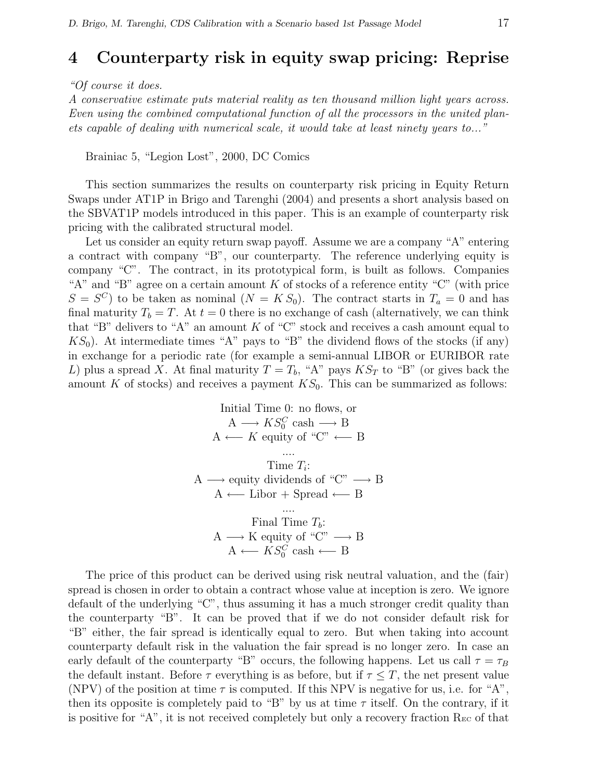# 4 Counterparty risk in equity swap pricing: Reprise

"Of course it does.

A conservative estimate puts material reality as ten thousand million light years across. Even using the combined computational function of all the processors in the united planets capable of dealing with numerical scale, it would take at least ninety years to..."

Brainiac 5, "Legion Lost", 2000, DC Comics

This section summarizes the results on counterparty risk pricing in Equity Return Swaps under AT1P in Brigo and Tarenghi (2004) and presents a short analysis based on the SBVAT1P models introduced in this paper. This is an example of counterparty risk pricing with the calibrated structural model.

Let us consider an equity return swap payoff. Assume we are a company "A" entering a contract with company "B", our counterparty. The reference underlying equity is company "C". The contract, in its prototypical form, is built as follows. Companies "A" and "B" agree on a certain amount K of stocks of a reference entity "C" (with price  $S = S^{C}$ ) to be taken as nominal  $(N = K S_0)$ . The contract starts in  $T_a = 0$  and has final maturity  $T_b = T$ . At  $t = 0$  there is no exchange of cash (alternatively, we can think that "B" delivers to "A" an amount  $K$  of "C" stock and receives a cash amount equal to  $KS<sub>0</sub>$ ). At intermediate times "A" pays to "B" the dividend flows of the stocks (if any) in exchange for a periodic rate (for example a semi-annual LIBOR or EURIBOR rate L) plus a spread X. At final maturity  $T = T_b$ , "A" pays  $KS_T$  to "B" (or gives back the amount K of stocks) and receives a payment  $KS_0$ . This can be summarized as follows:

Initial Time 0: no flows, or  
\n
$$
A \longrightarrow KS_0^C
$$
 cash  $\longrightarrow B$   
\n $A \longleftarrow K$  equity of "C"  $\longleftarrow B$   
\n...  
\n $\text{Time } T_i:$   
\n $A \longrightarrow \text{equity dividends of "C" } \longrightarrow B$   
\n $A \longleftarrow \text{Libor} + \text{Speed } \longleftarrow B$   
\n...  
\nFinal Time  $T_b:$   
\n $A \longrightarrow K$  equity of "C"  $\longrightarrow B$   
\n $A \longleftarrow KS_0^C \text{ cash } \longleftarrow B$ 

The price of this product can be derived using risk neutral valuation, and the (fair) spread is chosen in order to obtain a contract whose value at inception is zero. We ignore default of the underlying "C", thus assuming it has a much stronger credit quality than the counterparty "B". It can be proved that if we do not consider default risk for "B" either, the fair spread is identically equal to zero. But when taking into account counterparty default risk in the valuation the fair spread is no longer zero. In case an early default of the counterparty "B" occurs, the following happens. Let us call  $\tau = \tau_B$ the default instant. Before  $\tau$  everything is as before, but if  $\tau \leq T$ , the net present value (NPV) of the position at time  $\tau$  is computed. If this NPV is negative for us, i.e. for "A", then its opposite is completely paid to "B" by us at time  $\tau$  itself. On the contrary, if it is positive for "A", it is not received completely but only a recovery fraction  $\text{R}_{\text{EC}}$  of that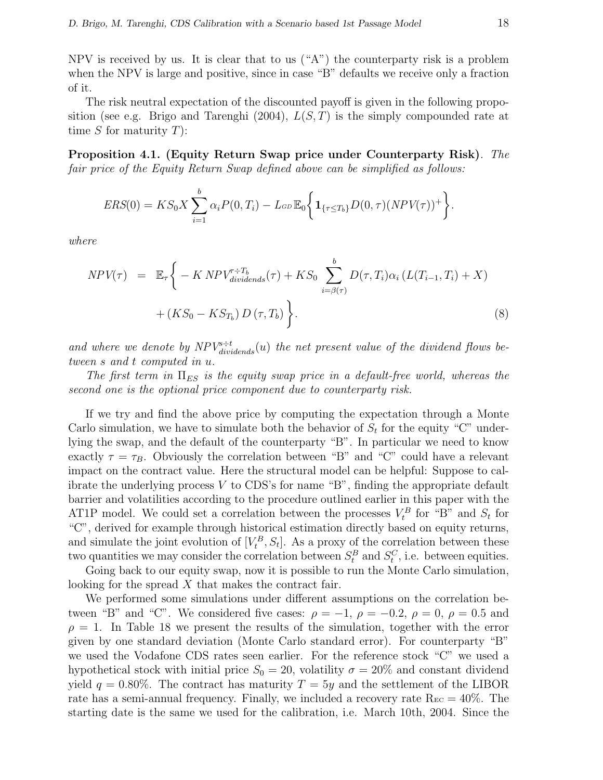NPV is received by us. It is clear that to us ("A") the counterparty risk is a problem when the NPV is large and positive, since in case "B" defaults we receive only a fraction of it.

The risk neutral expectation of the discounted payoff is given in the following proposition (see e.g. Brigo and Tarenghi  $(2004)$ ,  $L(S,T)$  is the simply compounded rate at time S for maturity  $T$ :

Proposition 4.1. (Equity Return Swap price under Counterparty Risk). The fair price of the Equity Return Swap defined above can be simplified as follows:

$$
ERS(0) = KS_0X \sum_{i=1}^{b} \alpha_i P(0,T_i) - L_{GD} \mathbb{E}_0 \bigg\{ \mathbf{1}_{\{\tau \le T_b\}} D(0,\tau) (NPV(\tau))^+ \bigg\}.
$$

where

$$
NPV(\tau) = \mathbb{E}_{\tau} \Biggl\{ - KNPV_{dividends}^{\tau+T_b}(\tau) + KS_0 \sum_{i=\beta(\tau)}^{b} D(\tau, T_i) \alpha_i (L(T_{i-1}, T_i) + X) + (KS_0 - KS_{T_b}) D(\tau, T_b) \Biggr\}.
$$
\n
$$
(8)
$$

and where we denote by  $NPV_{dividends}^{s+t}(u)$  the net present value of the dividend flows between s and t computed in u.

The first term in  $\Pi_{ES}$  is the equity swap price in a default-free world, whereas the second one is the optional price component due to counterparty risk.

If we try and find the above price by computing the expectation through a Monte Carlo simulation, we have to simulate both the behavior of  $S_t$  for the equity "C" underlying the swap, and the default of the counterparty "B". In particular we need to know exactly  $\tau = \tau_B$ . Obviously the correlation between "B" and "C" could have a relevant impact on the contract value. Here the structural model can be helpful: Suppose to calibrate the underlying process  $V$  to CDS's for name "B", finding the appropriate default barrier and volatilities according to the procedure outlined earlier in this paper with the AT1P model. We could set a correlation between the processes  $V_t^B$  for "B" and  $S_t$  for "C", derived for example through historical estimation directly based on equity returns, and simulate the joint evolution of  $[V_t^B, S_t]$ . As a proxy of the correlation between these two quantities we may consider the correlation between  $S_t^B$  and  $S_t^C$ , i.e. between equities.

Going back to our equity swap, now it is possible to run the Monte Carlo simulation, looking for the spread X that makes the contract fair.

We performed some simulations under different assumptions on the correlation between "B" and "C". We considered five cases:  $\rho = -1$ ,  $\rho = -0.2$ ,  $\rho = 0$ ,  $\rho = 0.5$  and  $\rho = 1$ . In Table 18 we present the results of the simulation, together with the error given by one standard deviation (Monte Carlo standard error). For counterparty "B" we used the Vodafone CDS rates seen earlier. For the reference stock "C" we used a hypothetical stock with initial price  $S_0 = 20$ , volatility  $\sigma = 20\%$  and constant dividend yield  $q = 0.80\%$ . The contract has maturity  $T = 5y$  and the settlement of the LIBOR rate has a semi-annual frequency. Finally, we included a recovery rate  $\text{R}_{EC} = 40\%$ . The starting date is the same we used for the calibration, i.e. March 10th, 2004. Since the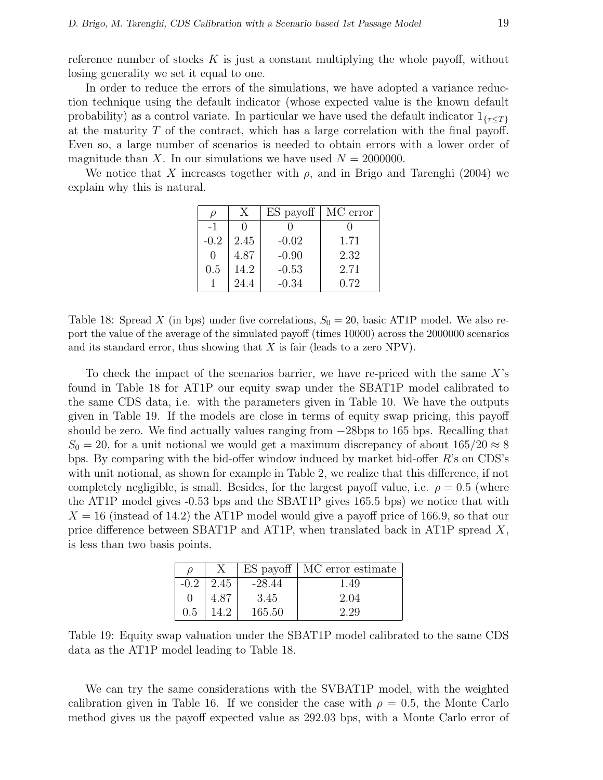reference number of stocks  $K$  is just a constant multiplying the whole payoff, without losing generality we set it equal to one.

In order to reduce the errors of the simulations, we have adopted a variance reduction technique using the default indicator (whose expected value is the known default probability) as a control variate. In particular we have used the default indicator  $1_{\{\tau \leq T\}}$ at the maturity  $T$  of the contract, which has a large correlation with the final payoff. Even so, a large number of scenarios is needed to obtain errors with a lower order of magnitude than X. In our simulations we have used  $N = 2000000$ .

We notice that X increases together with  $\rho$ , and in Brigo and Tarenghi (2004) we explain why this is natural.

| D                | X    | ES payoff | MC error |
|------------------|------|-----------|----------|
| -1               |      |           |          |
| $-0.2$           | 2.45 | $-0.02$   | 1.71     |
| $\left( \right)$ | 4.87 | $-0.90$   | 2.32     |
| 0.5              | 14.2 | $-0.53$   | 2.71     |
|                  | 24.4 | $-0.34$   | 0.72     |

Table 18: Spread X (in bps) under five correlations,  $S_0 = 20$ , basic AT1P model. We also report the value of the average of the simulated payoff (times 10000) across the 2000000 scenarios and its standard error, thus showing that  $X$  is fair (leads to a zero NPV).

To check the impact of the scenarios barrier, we have re-priced with the same  $X$ 's found in Table 18 for AT1P our equity swap under the SBAT1P model calibrated to the same CDS data, i.e. with the parameters given in Table 10. We have the outputs given in Table 19. If the models are close in terms of equity swap pricing, this payoff should be zero. We find actually values ranging from −28bps to 165 bps. Recalling that  $S_0 = 20$ , for a unit notional we would get a maximum discrepancy of about  $165/20 \approx 8$ bps. By comparing with the bid-offer window induced by market bid-offer R's on CDS's with unit notional, as shown for example in Table 2, we realize that this difference, if not completely negligible, is small. Besides, for the largest payoff value, i.e.  $\rho = 0.5$  (where the AT1P model gives -0.53 bps and the SBAT1P gives 165.5 bps) we notice that with  $X = 16$  (instead of 14.2) the AT1P model would give a payoff price of 166.9, so that our price difference between SBAT1P and AT1P, when translated back in AT1P spread  $X$ , is less than two basis points.

| D)           |               |          | ES payoff   MC error estimate |
|--------------|---------------|----------|-------------------------------|
|              | $-0.2$   2.45 | $-28.44$ | 1.49                          |
| $\mathbf{0}$ | 4.87          | 3.45     | 2.04                          |
| 0.5          | 14.2          | 165.50   | 2.29                          |

Table 19: Equity swap valuation under the SBAT1P model calibrated to the same CDS data as the AT1P model leading to Table 18.

We can try the same considerations with the SVBAT1P model, with the weighted calibration given in Table 16. If we consider the case with  $\rho = 0.5$ , the Monte Carlo method gives us the payoff expected value as 292.03 bps, with a Monte Carlo error of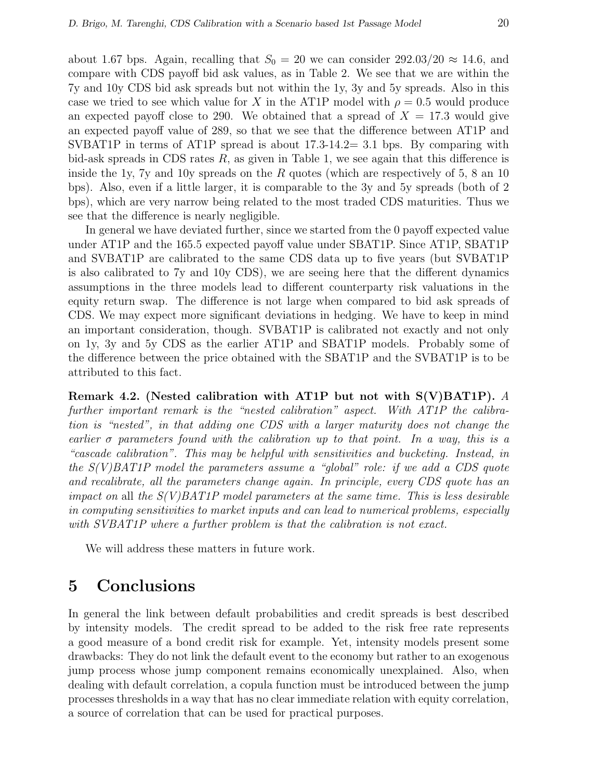about 1.67 bps. Again, recalling that  $S_0 = 20$  we can consider  $292.03/20 \approx 14.6$ , and compare with CDS payoff bid ask values, as in Table 2. We see that we are within the 7y and 10y CDS bid ask spreads but not within the 1y, 3y and 5y spreads. Also in this case we tried to see which value for X in the AT1P model with  $\rho = 0.5$  would produce an expected payoff close to 290. We obtained that a spread of  $X = 17.3$  would give an expected payoff value of 289, so that we see that the difference between AT1P and SVBAT1P in terms of AT1P spread is about 17.3-14.2= 3.1 bps. By comparing with bid-ask spreads in CDS rates  $R$ , as given in Table 1, we see again that this difference is inside the 1y, 7y and 10y spreads on the  $R$  quotes (which are respectively of 5, 8 an 10 bps). Also, even if a little larger, it is comparable to the 3y and 5y spreads (both of 2 bps), which are very narrow being related to the most traded CDS maturities. Thus we see that the difference is nearly negligible.

In general we have deviated further, since we started from the 0 payoff expected value under AT1P and the 165.5 expected payoff value under SBAT1P. Since AT1P, SBAT1P and SVBAT1P are calibrated to the same CDS data up to five years (but SVBAT1P is also calibrated to 7y and 10y CDS), we are seeing here that the different dynamics assumptions in the three models lead to different counterparty risk valuations in the equity return swap. The difference is not large when compared to bid ask spreads of CDS. We may expect more significant deviations in hedging. We have to keep in mind an important consideration, though. SVBAT1P is calibrated not exactly and not only on 1y, 3y and 5y CDS as the earlier AT1P and SBAT1P models. Probably some of the difference between the price obtained with the SBAT1P and the SVBAT1P is to be attributed to this fact.

Remark 4.2. (Nested calibration with AT1P but not with  $S(V)BAT1P$ ). A further important remark is the "nested calibration" aspect. With AT1P the calibration is "nested", in that adding one CDS with a larger maturity does not change the earlier  $\sigma$  parameters found with the calibration up to that point. In a way, this is a "cascade calibration". This may be helpful with sensitivities and bucketing. Instead, in the  $S(V)$ BAT1P model the parameters assume a "global" role: if we add a CDS quote and recalibrate, all the parameters change again. In principle, every CDS quote has an impact on all the  $S(V)BAT1P$  model parameters at the same time. This is less desirable in computing sensitivities to market inputs and can lead to numerical problems, especially with SVBAT1P where a further problem is that the calibration is not exact.

We will address these matters in future work.

# 5 Conclusions

In general the link between default probabilities and credit spreads is best described by intensity models. The credit spread to be added to the risk free rate represents a good measure of a bond credit risk for example. Yet, intensity models present some drawbacks: They do not link the default event to the economy but rather to an exogenous jump process whose jump component remains economically unexplained. Also, when dealing with default correlation, a copula function must be introduced between the jump processes thresholds in a way that has no clear immediate relation with equity correlation, a source of correlation that can be used for practical purposes.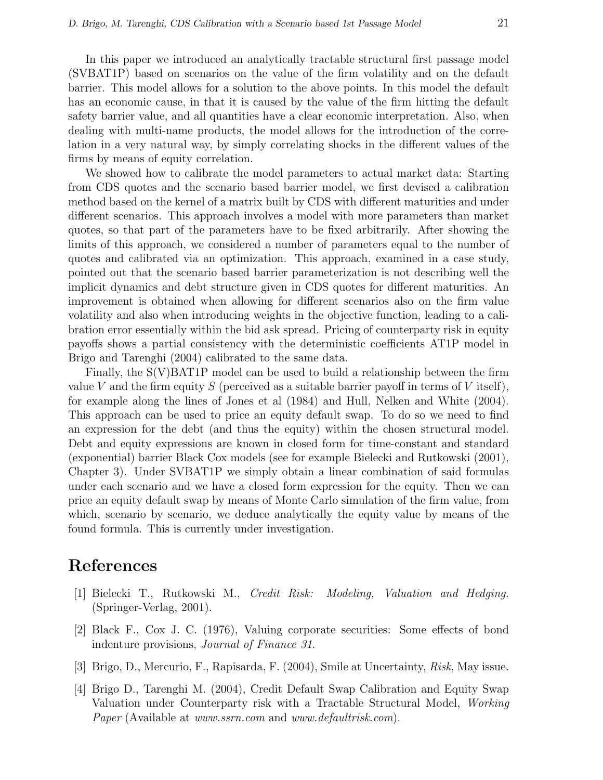In this paper we introduced an analytically tractable structural first passage model (SVBAT1P) based on scenarios on the value of the firm volatility and on the default barrier. This model allows for a solution to the above points. In this model the default has an economic cause, in that it is caused by the value of the firm hitting the default safety barrier value, and all quantities have a clear economic interpretation. Also, when dealing with multi-name products, the model allows for the introduction of the correlation in a very natural way, by simply correlating shocks in the different values of the firms by means of equity correlation.

We showed how to calibrate the model parameters to actual market data: Starting from CDS quotes and the scenario based barrier model, we first devised a calibration method based on the kernel of a matrix built by CDS with different maturities and under different scenarios. This approach involves a model with more parameters than market quotes, so that part of the parameters have to be fixed arbitrarily. After showing the limits of this approach, we considered a number of parameters equal to the number of quotes and calibrated via an optimization. This approach, examined in a case study, pointed out that the scenario based barrier parameterization is not describing well the implicit dynamics and debt structure given in CDS quotes for different maturities. An improvement is obtained when allowing for different scenarios also on the firm value volatility and also when introducing weights in the objective function, leading to a calibration error essentially within the bid ask spread. Pricing of counterparty risk in equity payoffs shows a partial consistency with the deterministic coefficients AT1P model in Brigo and Tarenghi (2004) calibrated to the same data.

Finally, the S(V)BAT1P model can be used to build a relationship between the firm value V and the firm equity S (perceived as a suitable barrier payoff in terms of V itself), for example along the lines of Jones et al (1984) and Hull, Nelken and White (2004). This approach can be used to price an equity default swap. To do so we need to find an expression for the debt (and thus the equity) within the chosen structural model. Debt and equity expressions are known in closed form for time-constant and standard (exponential) barrier Black Cox models (see for example Bielecki and Rutkowski (2001), Chapter 3). Under SVBAT1P we simply obtain a linear combination of said formulas under each scenario and we have a closed form expression for the equity. Then we can price an equity default swap by means of Monte Carlo simulation of the firm value, from which, scenario by scenario, we deduce analytically the equity value by means of the found formula. This is currently under investigation.

# References

- [1] Bielecki T., Rutkowski M., Credit Risk: Modeling, Valuation and Hedging. (Springer-Verlag, 2001).
- [2] Black F., Cox J. C. (1976), Valuing corporate securities: Some effects of bond indenture provisions, Journal of Finance 31.
- [3] Brigo, D., Mercurio, F., Rapisarda, F. (2004), Smile at Uncertainty, Risk, May issue.
- [4] Brigo D., Tarenghi M. (2004), Credit Default Swap Calibration and Equity Swap Valuation under Counterparty risk with a Tractable Structural Model, Working Paper (Available at www.ssrn.com and www.defaultrisk.com).